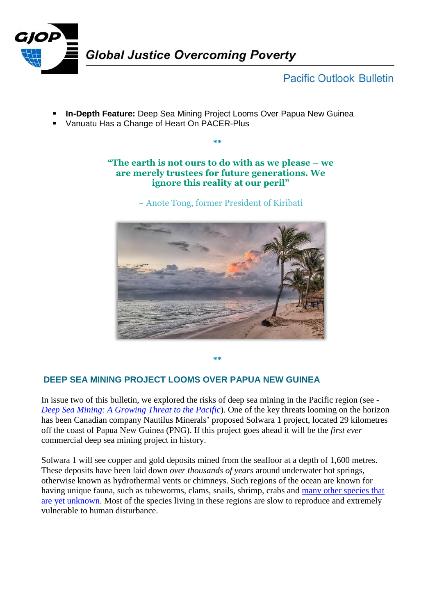

# **Pacific Outlook Bulletin**

- **In-Depth Feature:** Deep Sea Mining Project Looms Over Papua New Guinea
- Vanuatu Has a Change of Heart On PACER-Plus

## **"The earth is not ours to do with as we please – we are merely trustees for future generations. We ignore this reality at our peril"**

**\*\***

~ Anote Tong, former President of Kiribati



**\*\***

## **DEEP SEA MINING PROJECT LOOMS OVER PAPUA NEW GUINEA**

In issue two of this bulletin, we explored the risks of deep sea mining in the Pacific region (see - *[Deep Sea Mining: A Growing Threat to the Pacific](http://www.grailaustralia.org.au/wp-content/uploads/2017/03/GJOP-Pacific-Outlook-Issue-2_2017.pdf)*). One of the key threats looming on the horizon has been Canadian company Nautilus Minerals' proposed Solwara 1 project, located 29 kilometres off the coast of Papua New Guinea (PNG). If this project goes ahead it will be the *first ever* commercial deep sea mining project in history.

Solwara 1 will see copper and gold deposits mined from the seafloor at a depth of 1,600 metres. These deposits have been laid down *over thousands of years* around underwater hot springs, otherwise known as hydrothermal vents or chimneys. Such regions of the ocean are known for having unique fauna, such as tubeworms, clams, snails, shrimp, crabs and many other species that [are yet unknown.](https://www.eurekalert.org/pub_releases/2016-07/uoha-aad072616.php) Most of the species living in these regions are slow to reproduce and extremely vulnerable to human disturbance.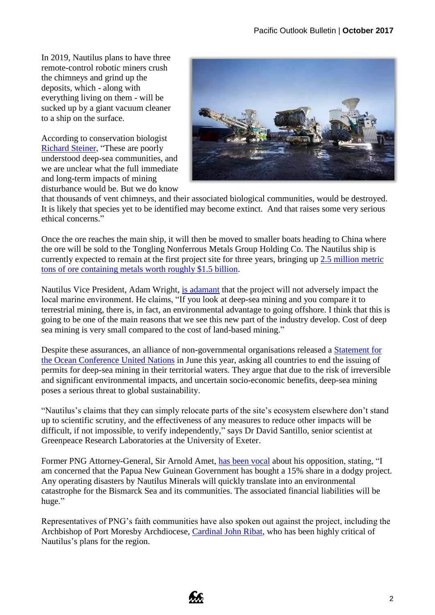In 2019, Nautilus plans to have three remote-control robotic miners crush the chimneys and grind up the deposits, which - along with everything living on them - will be sucked up by a giant vacuum cleaner to a ship on the surface.

According to conservation biologist [Richard Steiner,](https://news.mongabay.com/2016/11/deep-sea-mining-plans-for-papua-new-guinea-raise-alarm/) "These are poorly understood deep-sea communities, and we are unclear what the full immediate and long-term impacts of mining disturbance would be. But we do know



that thousands of vent chimneys, and their associated biological communities, would be destroyed. It is likely that species yet to be identified may become extinct. And that raises some very serious ethical concerns."

Once the ore reaches the main ship, it will then be moved to smaller boats heading to China where the ore will be sold to the Tongling Nonferrous Metals Group Holding Co. The Nautilus ship is currently expected to remain at the first project site for three years, bringing up [2.5 million metric](https://www.theguardian.com/sustainable-business/2017/jun/28/deep-sea-mining-environmental-mistakes)  [tons of ore containing metals worth roughly \\$1.5 billion.](https://www.theguardian.com/sustainable-business/2017/jun/28/deep-sea-mining-environmental-mistakes)

Nautilus Vice President, Adam Wright, [is adamant](http://postcourier.com.pg/solwara-one-seabed-mining-set-2018/) that the project will not adversely impact the local marine environment. He claims, "If you look at deep-sea mining and you compare it to terrestrial mining, there is, in fact, an environmental advantage to going offshore. I think that this is going to be one of the main reasons that we see this new part of the industry develop. Cost of deep sea mining is very small compared to the cost of land-based mining."

Despite these assurances, an alliance of non-governmental organisations released a [Statement for](http://www.seas-at-risk.org/images/pdf/publications/SARstatementSDG14the_UN_Ocean_conference_June2017.pdf)  [the Ocean Conference](http://www.seas-at-risk.org/images/pdf/publications/SARstatementSDG14the_UN_Ocean_conference_June2017.pdf) United Nations in June this year, asking all countries to end the issuing of permits for deep-sea mining in their territorial waters. They argue that due to the risk of irreversible and significant environmental impacts, and uncertain socio-economic benefits, deep-sea mining poses a serious threat to global sustainability.

"Nautilus's claims that they can simply relocate parts of the site's ecosystem elsewhere don't stand up to scientific scrutiny, and the effectiveness of any measures to reduce other impacts will be difficult, if not impossible, to verify independently," says Dr David Santillo, senior scientist at Greenpeace Research Laboratories at the University of Exeter.

Former PNG Attorney-General, Sir Arnold Amet, [has been vocal](https://ramumine.wordpress.com/2017/10/20/nautilus-is-a-risky-deal-sir-arnold-amet/) about his opposition, stating, "I am concerned that the Papua New Guinean Government has bought a 15% share in a dodgy project. Any operating disasters by Nautilus Minerals will quickly translate into an environmental catastrophe for the Bismarck Sea and its communities. The associated financial liabilities will be huge."

Representatives of PNG's faith communities have also spoken out against the project, including the Archbishop of Port Moresby Archdiocese, [Cardinal John Ribat,](http://asiapacificreport.nz/2017/05/31/no-to-deep-sea-bed-mining-plans-for-pacific-says-pngs-cardinal-ribat/) who has been highly critical of Nautilus's plans for the region.

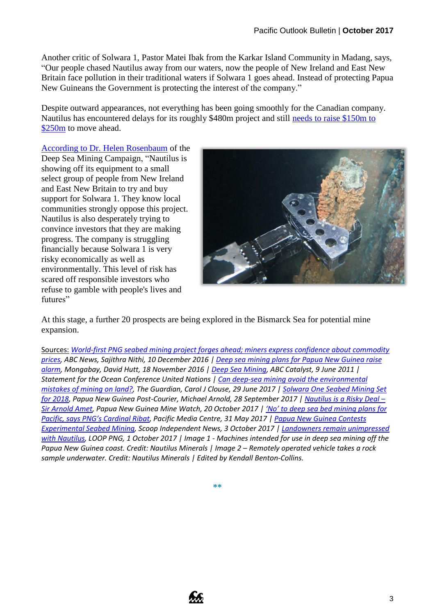Another critic of Solwara 1, Pastor Matei Ibak from the Karkar Island Community in Madang, says, "Our people chased Nautilus away from our waters, now the people of New Ireland and East New Britain face pollution in their traditional waters if Solwara 1 goes ahead. Instead of protecting Papua New Guineans the Government is protecting the interest of the company."

Despite outward appearances, not everything has been going smoothly for the Canadian company. Nautilus has encountered delays for its roughly \$480m project and still [needs to raise \\$150m to](https://www.theguardian.com/sustainable-business/2017/jun/28/deep-sea-mining-environmental-mistakes)  [\\$250m](https://www.theguardian.com/sustainable-business/2017/jun/28/deep-sea-mining-environmental-mistakes) to move ahead.

[According to Dr. Helen Rosenbaum](http://www.looppng.com/png-news/landowners-remain-unimpressed-nautilus-67338) of the Deep Sea Mining Campaign, "Nautilus is showing off its equipment to a small select group of people from New Ireland and East New Britain to try and buy support for Solwara 1. They know local communities strongly oppose this project. Nautilus is also desperately trying to convince investors that they are making progress. The company is struggling financially because Solwara 1 is very risky economically as well as environmentally. This level of risk has scared off responsible investors who refuse to gamble with people's lives and futures"



At this stage, a further 20 prospects are being explored in the Bismarck Sea for potential mine expansion.

Sources: *[World-first PNG seabed mining project forges ahead; miners express confidence about commodity](http://www.abc.net.au/news/2016-12-10/world-first-png-seabed-mining-project-forges-ahead/8107934)  [prices,](http://www.abc.net.au/news/2016-12-10/world-first-png-seabed-mining-project-forges-ahead/8107934) ABC News, Sajithra Nithi, 10 December 2016 | [Deep sea mining plans for Papua New Guinea raise](https://news.mongabay.com/2016/11/deep-sea-mining-plans-for-papua-new-guinea-raise-alarm/)  [alarm,](https://news.mongabay.com/2016/11/deep-sea-mining-plans-for-papua-new-guinea-raise-alarm/) Mongabay, David Hutt, 18 November 2016 | [Deep Sea Mining,](http://www.abc.net.au/catalyst/stories/3240156.htm) ABC Catalyst, 9 June 2011 | Statement for the Ocean Conference United Nations [| Can deep-sea mining avoid the environmental](https://www.theguardian.com/sustainable-business/2017/jun/28/deep-sea-mining-environmental-mistakes)  [mistakes of mining on land?,](https://www.theguardian.com/sustainable-business/2017/jun/28/deep-sea-mining-environmental-mistakes) The Guardian, Carol J Clouse, 29 June 2017 | [Solwara One Seabed Mining Set](http://postcourier.com.pg/solwara-one-seabed-mining-set-2018/)  [for 2018,](http://postcourier.com.pg/solwara-one-seabed-mining-set-2018/) Papua New Guinea Post-Courier, Michael Arnold, 28 September 2017 | [Nautilus is a Risky Deal](https://ramumine.wordpress.com/2017/10/20/nautilus-is-a-risky-deal-sir-arnold-amet/) – [Sir Arnold Amet,](https://ramumine.wordpress.com/2017/10/20/nautilus-is-a-risky-deal-sir-arnold-amet/) Papua New Guinea Mine Watch, 20 October 2017 | ['No' to deep sea bed mining plans for](http://asiapacificreport.nz/2017/05/31/no-to-deep-sea-bed-mining-plans-for-pacific-says-pngs-cardinal-ribat/)  [Pacific, says PNG's Cardinal Ribat](http://asiapacificreport.nz/2017/05/31/no-to-deep-sea-bed-mining-plans-for-pacific-says-pngs-cardinal-ribat/), Pacific Media Centre, 31 May 2017 [| Papua New Guinea Contests](http://www.scoop.co.nz/stories/WO1710/S00034/papua-new-guinea-contests-experimental-seabed-mining.htm)  [Experimental Seabed Mining,](http://www.scoop.co.nz/stories/WO1710/S00034/papua-new-guinea-contests-experimental-seabed-mining.htm) Scoop Independent News, 3 October 2017 [| Landowners remain unimpressed](http://www.looppng.com/png-news/landowners-remain-unimpressed-nautilus-67338)  [with Nautilus,](http://www.looppng.com/png-news/landowners-remain-unimpressed-nautilus-67338) LOOP PNG, 1 October 2017 | Image 1 - Machines intended for use in deep sea mining off the Papua New Guinea coast. Credit: Nautilus Minerals | Image 2 – Remotely operated vehicle takes a rock sample underwater. Credit: Nautilus Minerals | Edited by Kendall Benton-Collins.*

**\*\***